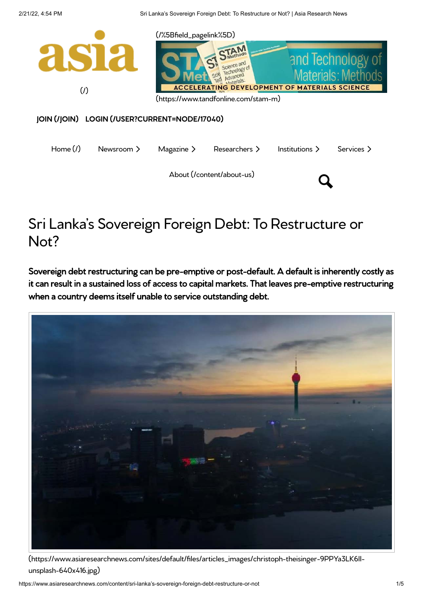

# Sri Lanka's Sovereign Foreign Debt: To Restructure or Not?

Sovereign debt restructuring can be pre-emptive or post-default. A default is inherently costly as it can result in a sustained loss of access to capital markets. That leaves pre-emptive restructuring when a country deems itself unable to service outstanding debt.



[\(https://www.asiaresearchnews.com/sites/default/files/articles\\_images/christoph-theisinger-9PPYa3LK6II](https://www.asiaresearchnews.com/sites/default/files/articles_images/christoph-theisinger-9PPYa3LK6II-unsplash-640x416.jpg)unsplash-640x416.jpg)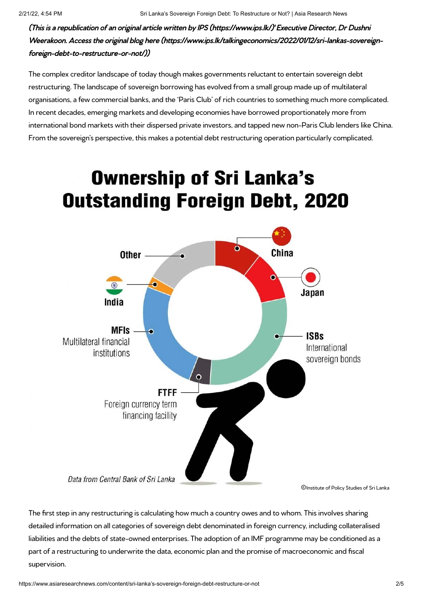(This is a republication of an original article written by [IPS \(https://www.ips.lk/\)](https://www.ips.lk/)' Executive Director, Dr Dushni Weerakoon. Access the original blog [here \(https://www.ips.lk/talkingeconomics/2022/01/12/sri-lankas-sovereign](https://www.ips.lk/talkingeconomics/2022/01/12/sri-lankas-sovereign-foreign-debt-to-restructure-or-not/)foreign-debt-to-restructure-or-not/))

The complex creditor landscape of today though makes governments reluctant to entertain sovereign debt restructuring. The landscape of sovereign borrowing has evolved from a small group made up of multilateral organisations, a few commercial banks, and the 'Paris Club' of rich countries to something much more complicated. In recent decades, emerging markets and developing economies have borrowed proportionately more from international bond markets with their dispersed private investors, and tapped new non-Paris Club lenders like China. From the sovereign's perspective, this makes a potential debt restructuring operation particularly complicated.

# **Ownership of Sri Lanka's Outstanding Foreign Debt, 2020**



The first step in any restructuring is calculating how much a country owes and to whom. This involves sharing detailed information on all categories of sovereign debt denominated in foreign currency, including collateralised liabilities and the debts of state-owned enterprises. The adoption of an IMF programme may be conditioned as a part of a restructuring to underwrite the data, economic plan and the promise of macroeconomic and fiscal supervision.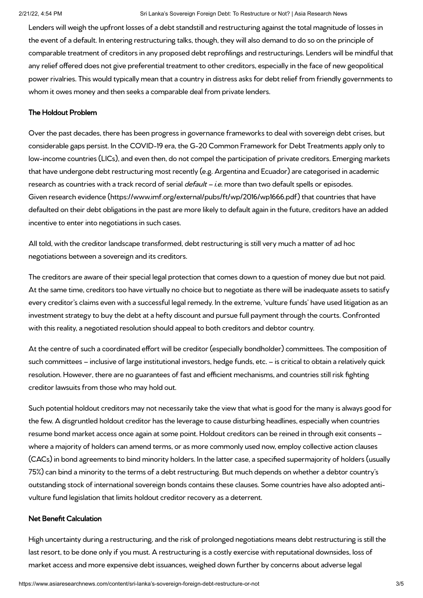#### 2/21/22, 4:54 PM Sri Lanka's Sovereign Foreign Debt: To Restructure or Not? | Asia Research News

Lenders will weigh the upfront losses of a debt standstill and restructuring against the total magnitude of losses in the event of a default. In entering restructuring talks, though, they will also demand to do so on the principle of comparable treatment of creditors in any proposed debt reprofilings and restructurings. Lenders will be mindful that any relief offered does not give preferential treatment to other creditors, especially in the face of new geopolitical power rivalries. This would typically mean that a country in distress asks for debt relief from friendly governments to whom it owes money and then seeks a comparable deal from private lenders.

## The Holdout Problem

Over the past decades, there has been progress in governance frameworks to deal with sovereign debt crises, but considerable gaps persist. In the COVID-19 era, the G-20 Common Framework for Debt Treatments apply only to low-income countries (LICs), and even then, do not compel the participation of private creditors. Emerging markets that have undergone debt restructuring most recently (e.g. Argentina and Ecuador) are categorised in academic research as countries with a track record of serial *default – i.e.* more than two default spells or episodes. Given [research evidence \(https://www.imf.org/external/pubs/ft/wp/2016/wp1666.pdf\)](https://www.imf.org/external/pubs/ft/wp/2016/wp1666.pdf) that countries that have defaulted on their debt obligations in the past are more likely to default again in the future, creditors have an added incentive to enter into negotiations in such cases.

All told, with the creditor landscape transformed, debt restructuring is still very much a matter of ad hoc negotiations between a sovereign and its creditors.

The creditors are aware of their special legal protection that comes down to a question of money due but not paid. At the same time, creditors too have virtually no choice but to negotiate as there will be inadequate assets to satisfy every creditor's claims even with a successful legal remedy. In the extreme, 'vulture funds' have used litigation as an investment strategy to buy the debt at a hefty discount and pursue full payment through the courts. Confronted with this reality, a negotiated resolution should appeal to both creditors and debtor country.

At the centre of such a coordinated effort will be creditor (especially bondholder) committees. The composition of such committees – inclusive of large institutional investors, hedge funds, etc. – is critical to obtain a relatively quick resolution. However, there are no guarantees of fast and efficient mechanisms, and countries still risk fighting creditor lawsuits from those who may hold out.

Such potential holdout creditors may not necessarily take the view that what is good for the many is always good for the few. A disgruntled holdout creditor has the leverage to cause disturbing headlines, especially when countries resume bond market access once again at some point. Holdout creditors can be reined in through exit consents – where a majority of holders can amend terms, or as more commonly used now, employ collective action clauses (CACs) in bond agreements to bind minority holders. In the latter case, a specified supermajority of holders (usually 75%) can bind a minority to the terms of a debt restructuring. But much depends on whether a debtor country's outstanding stock of international sovereign bonds contains these clauses. Some countries have also adopted antivulture fund legislation that limits holdout creditor recovery as a deterrent.

#### Net Benefit Calculation

High uncertainty during a restructuring, and the risk of prolonged negotiations means debt restructuring is still the last resort, to be done only if you must. A restructuring is a costly exercise with reputational downsides, loss of market access and more expensive debt issuances, weighed down further by concerns about adverse legal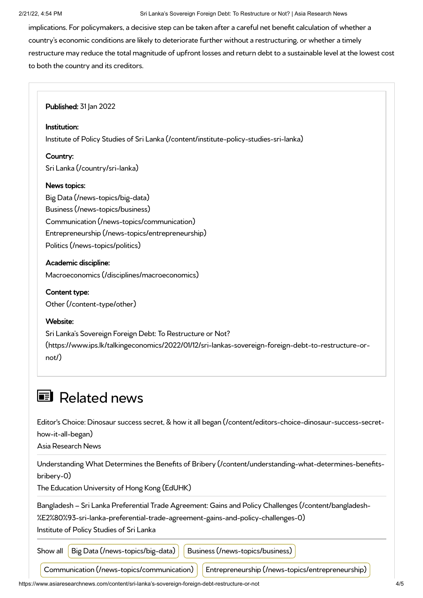implications. For policymakers, a decisive step can be taken after a careful net benefit calculation of whether a country's economic conditions are likely to deteriorate further without a restructuring, or whether a timely restructure may reduce the total magnitude of upfront losses and return debt to a sustainable level at the lowest cost to both the country and its creditors.

**Published: 31 Jan 2022** 

#### Institution:

[Institute of Policy Studies of Sri Lanka \(/content/institute-policy-studies-sri-lanka\)](https://www.asiaresearchnews.com/content/institute-policy-studies-sri-lanka)

#### Country:

[Sri Lanka \(/country/sri-lanka\)](https://www.asiaresearchnews.com/country/sri-lanka)

### News topics:

[Big Data \(/news-topics/big-data\)](https://www.asiaresearchnews.com/news-topics/big-data) [Business \(/news-topics/business\)](https://www.asiaresearchnews.com/news-topics/business) [Communication \(/news-topics/communication\)](https://www.asiaresearchnews.com/news-topics/communication) [Entrepreneurship \(/news-topics/entrepreneurship\)](https://www.asiaresearchnews.com/news-topics/entrepreneurship) [Politics \(/news-topics/politics\)](https://www.asiaresearchnews.com/news-topics/politics)

### Academic discipline:

[Macroeconomics \(/disciplines/macroeconomics\)](https://www.asiaresearchnews.com/disciplines/macroeconomics)

# Content type:

[Other \(/content-type/other\)](https://www.asiaresearchnews.com/content-type/other)

#### Website:

Sri Lanka's Sovereign Foreign Debt: To Restructure or Not? [\(https://www.ips.lk/talkingeconomics/2022/01/12/sri-lankas-sovereign-foreign-debt-to-restructure-or](https://www.ips.lk/talkingeconomics/2022/01/12/sri-lankas-sovereign-foreign-debt-to-restructure-or-not/)not/)

# **E** Related news

[Editor's Choice: Dinosaur success secret, & how it all began \(/content/editors-choice-dinosaur-success-secret](https://www.asiaresearchnews.com/content/editors-choice-dinosaur-success-secret-how-it-all-began)how-it-all-began)

Asia Research News

[Understanding What Determines the Benefits of Bribery \(/content/understanding-what-determines-benefits](https://www.asiaresearchnews.com/content/understanding-what-determines-benefits-bribery-0)bribery-0)

The Education University of Hong Kong (EdUHK)

[Bangladesh – Sri Lanka Preferential Trade Agreement: Gains and Policy Challenges \(/content/bangladesh-](https://www.asiaresearchnews.com/content/bangladesh-%E2%80%93-sri-lanka-preferential-trade-agreement-gains-and-policy-challenges-0)

%E2%80%93-sri-lanka-preferential-trade-agreement-gains-and-policy-challenges-0)

Institute of Policy Studies of Sri Lanka

Show all [Big Data \(/news-topics/big-data\)](https://www.asiaresearchnews.com/news-topics/big-data) | [Business \(/news-topics/business\)](https://www.asiaresearchnews.com/news-topics/business)

[Communication \(/news-topics/communication\)](https://www.asiaresearchnews.com/news-topics/communication) | [Entrepreneurship \(/news-topics/entrepreneurship\)](https://www.asiaresearchnews.com/news-topics/entrepreneurship)